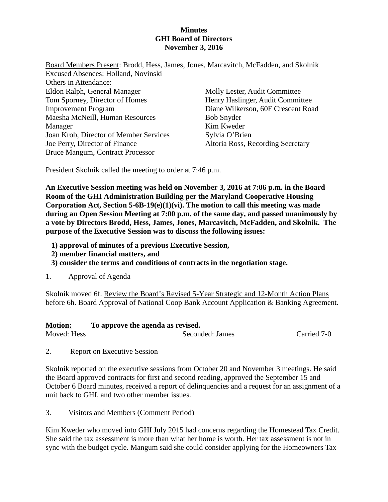## **Minutes GHI Board of Directors November 3, 2016**

| Board Members Present: Brodd, Hess, James, Jones, Marcavitch, McFadden, and Skolnik |                                    |
|-------------------------------------------------------------------------------------|------------------------------------|
| Excused Absences: Holland, Novinski                                                 |                                    |
| Others in Attendance:                                                               |                                    |
| Eldon Ralph, General Manager                                                        | Molly Lester, Audit Committee      |
| Tom Sporney, Director of Homes                                                      | Henry Haslinger, Audit Committee   |
| <b>Improvement Program</b>                                                          | Diane Wilkerson, 60F Crescent Road |
| Maesha McNeill, Human Resources                                                     | <b>Bob Snyder</b>                  |
| Manager                                                                             | Kim Kweder                         |
| Joan Krob, Director of Member Services                                              | Sylvia O'Brien                     |
| Joe Perry, Director of Finance                                                      | Altoria Ross, Recording Secretary  |
| <b>Bruce Mangum, Contract Processor</b>                                             |                                    |

President Skolnik called the meeting to order at 7:46 p.m.

**An Executive Session meeting was held on November 3, 2016 at 7:06 p.m. in the Board Room of the GHI Administration Building per the Maryland Cooperative Housing Corporation Act, Section 5-6B-19(e)(1)(vi). The motion to call this meeting was made during an Open Session Meeting at 7:00 p.m. of the same day, and passed unanimously by a vote by Directors Brodd, Hess, James, Jones, Marcavitch, McFadden, and Skolnik. The purpose of the Executive Session was to discuss the following issues:** 

- **1) approval of minutes of a previous Executive Session,**
- **2) member financial matters, and**
- **3) consider the terms and conditions of contracts in the negotiation stage.**
- 1. Approval of Agenda

Skolnik moved 6f. Review the Board's Revised 5-Year Strategic and 12-Month Action Plans before 6h. Board Approval of National Coop Bank Account Application & Banking Agreement.

#### **Motion: To approve the agenda as revised.**

Moved: Hess Seconded: James Carried 7-0

2. Report on Executive Session

Skolnik reported on the executive sessions from October 20 and November 3 meetings. He said the Board approved contracts for first and second reading, approved the September 15 and October 6 Board minutes, received a report of delinquencies and a request for an assignment of a unit back to GHI, and two other member issues.

3. Visitors and Members (Comment Period)

Kim Kweder who moved into GHI July 2015 had concerns regarding the Homestead Tax Credit. She said the tax assessment is more than what her home is worth. Her tax assessment is not in sync with the budget cycle. Mangum said she could consider applying for the Homeowners Tax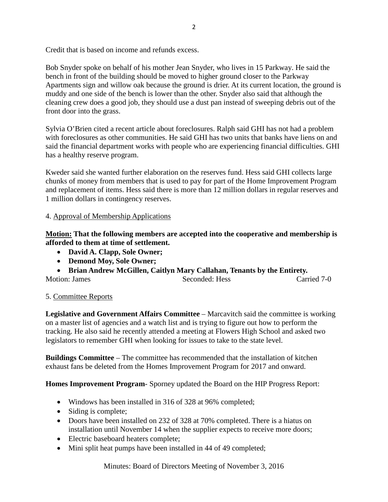Credit that is based on income and refunds excess.

Bob Snyder spoke on behalf of his mother Jean Snyder, who lives in 15 Parkway. He said the bench in front of the building should be moved to higher ground closer to the Parkway Apartments sign and willow oak because the ground is drier. At its current location, the ground is muddy and one side of the bench is lower than the other. Snyder also said that although the cleaning crew does a good job, they should use a dust pan instead of sweeping debris out of the front door into the grass.

Sylvia O'Brien cited a recent article about foreclosures. Ralph said GHI has not had a problem with foreclosures as other communities. He said GHI has two units that banks have liens on and said the financial department works with people who are experiencing financial difficulties. GHI has a healthy reserve program.

Kweder said she wanted further elaboration on the reserves fund. Hess said GHI collects large chunks of money from members that is used to pay for part of the Home Improvement Program and replacement of items. Hess said there is more than 12 million dollars in regular reserves and 1 million dollars in contingency reserves.

## 4. Approval of Membership Applications

**Motion: That the following members are accepted into the cooperative and membership is afforded to them at time of settlement.**

- **David A. Clapp, Sole Owner;**
- **Demond Moy, Sole Owner;**
- **Brian Andrew McGillen, Caitlyn Mary Callahan, Tenants by the Entirety.**

Motion: James Seconded: Hess Carried 7-0

## 5. Committee Reports

**Legislative and Government Affairs Committee** – Marcavitch said the committee is working on a master list of agencies and a watch list and is trying to figure out how to perform the tracking. He also said he recently attended a meeting at Flowers High School and asked two legislators to remember GHI when looking for issues to take to the state level.

**Buildings Committee** – The committee has recommended that the installation of kitchen exhaust fans be deleted from the Homes Improvement Program for 2017 and onward.

**Homes Improvement Program**- Sporney updated the Board on the HIP Progress Report:

- Windows has been installed in 316 of 328 at 96% completed;
- Siding is complete;
- Doors have been installed on 232 of 328 at 70% completed. There is a hiatus on installation until November 14 when the supplier expects to receive more doors;
- Electric baseboard heaters complete;
- Mini split heat pumps have been installed in 44 of 49 completed;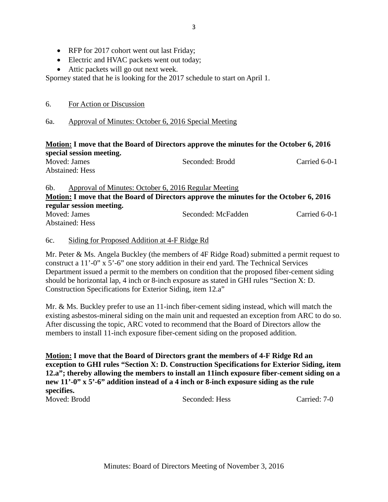- RFP for 2017 cohort went out last Friday;
- Electric and HVAC packets went out today;
- Attic packets will go out next week.

Sporney stated that he is looking for the 2017 schedule to start on April 1.

6. For Action or Discussion

# 6a. Approval of Minutes: October 6, 2016 Special Meeting

## **Motion: I move that the Board of Directors approve the minutes for the October 6, 2016 special session meeting.**

|     | Moved: James<br><b>Abstained: Hess</b> | Seconded: Brodd                                      | Carried 6-0-1 |
|-----|----------------------------------------|------------------------------------------------------|---------------|
| 6b. |                                        | Approval of Minutes: October 6, 2016 Regular Meeting |               |

## **Motion: I move that the Board of Directors approve the minutes for the October 6, 2016 regular session meeting.**  Moved: James Seconded: McFadden Carried 6-0-1 Abstained: Hess

# 6c. Siding for Proposed Addition at 4-F Ridge Rd

Mr. Peter & Ms. Angela Buckley (the members of 4F Ridge Road) submitted a permit request to construct a 11'-0" x 5'-6" one story addition in their end yard. The Technical Services Department issued a permit to the members on condition that the proposed fiber-cement siding should be horizontal lap, 4 inch or 8-inch exposure as stated in GHI rules "Section X: D. Construction Specifications for Exterior Siding, item 12.a"

Mr. & Ms. Buckley prefer to use an 11-inch fiber-cement siding instead, which will match the existing asbestos-mineral siding on the main unit and requested an exception from ARC to do so. After discussing the topic, ARC voted to recommend that the Board of Directors allow the members to install 11-inch exposure fiber-cement siding on the proposed addition.

**Motion: I move that the Board of Directors grant the members of 4-F Ridge Rd an exception to GHI rules "Section X: D. Construction Specifications for Exterior Siding, item 12.a"; thereby allowing the members to install an 11inch exposure fiber-cement siding on a new 11'-0" x 5'-6" addition instead of a 4 inch or 8-inch exposure siding as the rule specifies.**  Moved: Brodd Seconded: Hess Carried: 7-0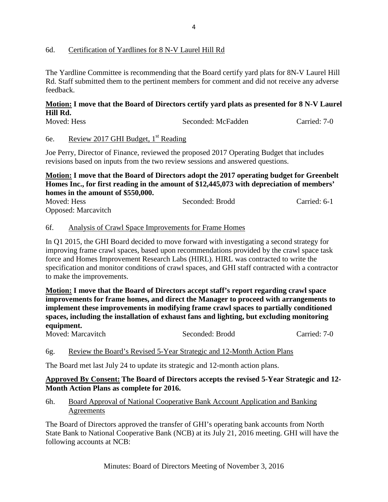#### 6d. Certification of Yardlines for 8 N-V Laurel Hill Rd

The Yardline Committee is recommending that the Board certify yard plats for 8N-V Laurel Hill Rd. Staff submitted them to the pertinent members for comment and did not receive any adverse feedback.

#### **Motion: I move that the Board of Directors certify yard plats as presented for 8 N-V Laurel Hill Rd.**

| Moved: Hess |                                                 | Seconded: McFadden | Carried: 7-0 |
|-------------|-------------------------------------------------|--------------------|--------------|
| 6e.         | Review 2017 GHI Budget, 1 <sup>st</sup> Reading |                    |              |

Joe Perry, Director of Finance, reviewed the proposed 2017 Operating Budget that includes revisions based on inputs from the two review sessions and answered questions.

## **Motion: I move that the Board of Directors adopt the 2017 operating budget for Greenbelt Homes Inc., for first reading in the amount of \$12,445,073 with depreciation of members' homes in the amount of \$550,000.**

| Moved: Hess                | Seconded: Brodd | Carried: 6-1 |
|----------------------------|-----------------|--------------|
| <b>Opposed:</b> Marcavitch |                 |              |

#### 6f. Analysis of Crawl Space Improvements for Frame Homes

In Q1 2015, the GHI Board decided to move forward with investigating a second strategy for improving frame crawl spaces, based upon recommendations provided by the crawl space task force and Homes Improvement Research Labs (HIRL). HIRL was contracted to write the specification and monitor conditions of crawl spaces, and GHI staff contracted with a contractor to make the improvements.

**Motion: I move that the Board of Directors accept staff's report regarding crawl space improvements for frame homes, and direct the Manager to proceed with arrangements to implement these improvements in modifying frame crawl spaces to partially conditioned spaces, including the installation of exhaust fans and lighting, but excluding monitoring equipment.**

| Moved: Marcavitch<br>Seconded: Brodd | Carried: 7-0 |
|--------------------------------------|--------------|

## 6g. Review the Board's Revised 5-Year Strategic and 12-Month Action Plans

The Board met last July 24 to update its strategic and 12-month action plans.

## **Approved By Consent: The Board of Directors accepts the revised 5-Year Strategic and 12- Month Action Plans as complete for 2016.**

6h. Board Approval of National Cooperative Bank Account Application and Banking **Agreements** 

The Board of Directors approved the transfer of GHI's operating bank accounts from North State Bank to National Cooperative Bank (NCB) at its July 21, 2016 meeting. GHI will have the following accounts at NCB: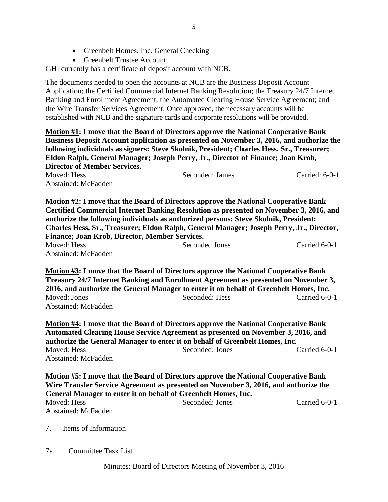• Greenbelt Trustee Account

GHI currently has a certificate of deposit account with NCB.

The documents needed to open the accounts at NCB are the Business Deposit Account Application; the Certified Commercial Internet Banking Resolution; the Treasury 24/7 Internet Banking and Enrollment Agreement; the Automated Clearing House Service Agreement; and the Wire Transfer Services Agreement. Once approved, the necessary accounts will be established with NCB and the signature cards and corporate resolutions will be provided.

**Motion #1: I move that the Board of Directors approve the National Cooperative Bank Business Deposit Account application as presented on November 3, 2016, and authorize the following individuals as signers: Steve Skolnik, President; Charles Hess, Sr., Treasurer; Eldon Ralph, General Manager; Joseph Perry, Jr., Director of Finance; Joan Krob, Director of Member Services.** Moved: Hess Seconded: James Carried: 6-0-1 Abstained: McFadden

**Motion #2: I move that the Board of Directors approve the National Cooperative Bank Certified Commercial Internet Banking Resolution as presented on November 3, 2016, and authorize the following individuals as authorized persons: Steve Skolnik, President; Charles Hess, Sr., Treasurer; Eldon Ralph, General Manager; Joseph Perry, Jr., Director, Finance; Joan Krob, Director, Member Services.** Moved: Hess Seconded Jones Carried 6-0-1

Abstained: McFadden

**Motion #3: I move that the Board of Directors approve the National Cooperative Bank Treasury 24/7 Internet Banking and Enrollment Agreement as presented on November 3, 2016, and authorize the General Manager to enter it on behalf of Greenbelt Homes, Inc.** Moved: Jones Seconded: Hess Carried 6-0-1 Abstained: McFadden

**Motion #4: I move that the Board of Directors approve the National Cooperative Bank Automated Clearing House Service Agreement as presented on November 3, 2016, and authorize the General Manager to enter it on behalf of Greenbelt Homes, Inc.** Moved: Hess Seconded: Jones Carried 6-0-1 Abstained: McFadden

**Motion #5: I move that the Board of Directors approve the National Cooperative Bank Wire Transfer Service Agreement as presented on November 3, 2016, and authorize the General Manager to enter it on behalf of Greenbelt Homes, Inc.** Moved: Hess Seconded: Jones Carried 6-0-1 Abstained: McFadden

7. Items of Information

7a. Committee Task List

Minutes: Board of Directors Meeting of November 3, 2016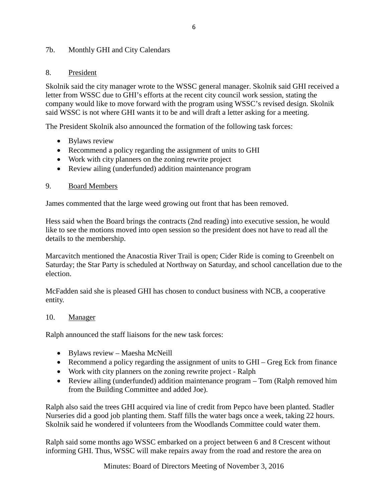## 7b. Monthly GHI and City Calendars

## 8. President

Skolnik said the city manager wrote to the WSSC general manager. Skolnik said GHI received a letter from WSSC due to GHI's efforts at the recent city council work session, stating the company would like to move forward with the program using WSSC's revised design. Skolnik said WSSC is not where GHI wants it to be and will draft a letter asking for a meeting.

The President Skolnik also announced the formation of the following task forces:

- Bylaws review
- Recommend a policy regarding the assignment of units to GHI
- Work with city planners on the zoning rewrite project
- Review ailing (underfunded) addition maintenance program

## 9. Board Members

James commented that the large weed growing out front that has been removed.

Hess said when the Board brings the contracts (2nd reading) into executive session, he would like to see the motions moved into open session so the president does not have to read all the details to the membership.

Marcavitch mentioned the Anacostia River Trail is open; Cider Ride is coming to Greenbelt on Saturday; the Star Party is scheduled at Northway on Saturday, and school cancellation due to the election.

McFadden said she is pleased GHI has chosen to conduct business with NCB, a cooperative entity.

#### 10. Manager

Ralph announced the staff liaisons for the new task forces:

- Bylaws review Maesha McNeill
- Recommend a policy regarding the assignment of units to GHI Greg Eck from finance
- Work with city planners on the zoning rewrite project Ralph
- Review ailing (underfunded) addition maintenance program Tom (Ralph removed him from the Building Committee and added Joe).

Ralph also said the trees GHI acquired via line of credit from Pepco have been planted. Stadler Nurseries did a good job planting them. Staff fills the water bags once a week, taking 22 hours. Skolnik said he wondered if volunteers from the Woodlands Committee could water them.

Ralph said some months ago WSSC embarked on a project between 6 and 8 Crescent without informing GHI. Thus, WSSC will make repairs away from the road and restore the area on